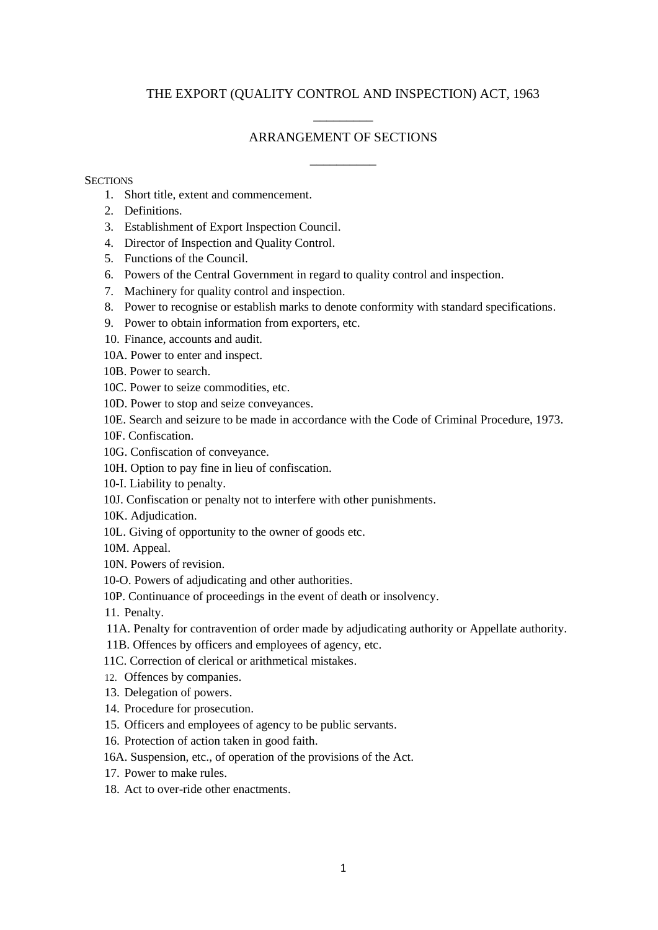## THE EXPORT (QUALITY CONTROL AND INSPECTION) ACT, 1963

# \_\_\_\_\_\_\_\_\_ ARRANGEMENT OF SECTIONS

\_\_\_\_\_\_\_\_\_\_

#### **SECTIONS**

- 1. Short title, extent and commencement.
- 2. Definitions.
- 3. Establishment of Export Inspection Council.
- 4. Director of Inspection and Quality Control.
- 5. Functions of the Council.
- 6. Powers of the Central Government in regard to quality control and inspection.
- 7. Machinery for quality control and inspection.
- 8. Power to recognise or establish marks to denote conformity with standard specifications.
- 9. Power to obtain information from exporters, etc.
- 10. Finance, accounts and audit.
- 10A. Power to enter and inspect.
- 10B. Power to search.
- 10C. Power to seize commodities, etc.
- 10D. Power to stop and seize conveyances.
- 10E. Search and seizure to be made in accordance with the Code of Criminal Procedure, 1973.
- 10F. Confiscation.
- 10G. Confiscation of conveyance.
- 10H. Option to pay fine in lieu of confiscation.
- 10-I. Liability to penalty.
- 10J. Confiscation or penalty not to interfere with other punishments.
- 10K. Adjudication.
- 10L. Giving of opportunity to the owner of goods etc.
- 10M. Appeal.
- 10N. Powers of revision.
- 10-O. Powers of adjudicating and other authorities.
- 10P. Continuance of proceedings in the event of death or insolvency.
- 11. Penalty.
- 11A. Penalty for contravention of order made by adjudicating authority or Appellate authority.
- 11B. Offences by officers and employees of agency, etc.
- 11C. Correction of clerical or arithmetical mistakes.
- 12. Offences by companies.
- 13. Delegation of powers.
- 14. Procedure for prosecution.
- 15. Officers and employees of agency to be public servants.
- 16. Protection of action taken in good faith.
- 16A. Suspension, etc., of operation of the provisions of the Act.
- 17. Power to make rules.
- 18. Act to over-ride other enactments.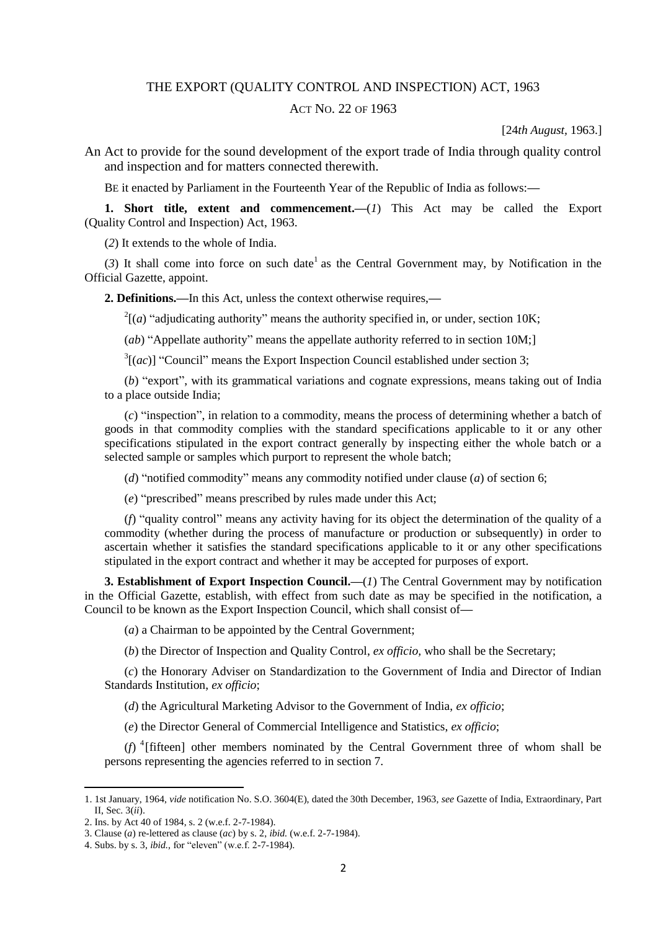### THE EXPORT (QUALITY CONTROL AND INSPECTION) ACT, 1963

#### ACT NO. 22 OF 1963

[24*th August,* 1963.]

An Act to provide for the sound development of the export trade of India through quality control and inspection and for matters connected therewith.

BE it enacted by Parliament in the Fourteenth Year of the Republic of India as follows:**—**

**1. Short title, extent and commencement.—**(*1*) This Act may be called the Export (Quality Control and Inspection) Act, 1963.

(*2*) It extends to the whole of India.

 $(3)$  It shall come into force on such date<sup>1</sup> as the Central Government may, by Notification in the Official Gazette, appoint.

**2. Definitions.—**In this Act, unless the context otherwise requires,**—**

 $2^2$ [(*a*) "adjudicating authority" means the authority specified in, or under, section 10K;

(*ab*) "Appellate authority" means the appellate authority referred to in section 10M;]

 $3[(ac)]$  "Council" means the Export Inspection Council established under section 3;

(*b*) "export", with its grammatical variations and cognate expressions, means taking out of India to a place outside India;

(*c*) "inspection", in relation to a commodity, means the process of determining whether a batch of goods in that commodity complies with the standard specifications applicable to it or any other specifications stipulated in the export contract generally by inspecting either the whole batch or a selected sample or samples which purport to represent the whole batch;

(*d*) "notified commodity" means any commodity notified under clause (*a*) of section 6;

(*e*) "prescribed" means prescribed by rules made under this Act;

(*f*) "quality control" means any activity having for its object the determination of the quality of a commodity (whether during the process of manufacture or production or subsequently) in order to ascertain whether it satisfies the standard specifications applicable to it or any other specifications stipulated in the export contract and whether it may be accepted for purposes of export.

**3. Establishment of Export Inspection Council.—**(*1*) The Central Government may by notification in the Official Gazette, establish, with effect from such date as may be specified in the notification, a Council to be known as the Export Inspection Council, which shall consist of**—**

(*a*) a Chairman to be appointed by the Central Government;

(*b*) the Director of Inspection and Quality Control, *ex officio,* who shall be the Secretary;

(*c*) the Honorary Adviser on Standardization to the Government of India and Director of Indian Standards Institution, *ex officio*;

(*d*) the Agricultural Marketing Advisor to the Government of India, *ex officio*;

(*e*) the Director General of Commercial Intelligence and Statistics, *ex officio*;

( $f$ )<sup> $4$ </sup>[fifteen] other members nominated by the Central Government three of whom shall be persons representing the agencies referred to in section 7.

<sup>1. 1</sup>st January, 1964, *vide* notification No. S.O. 3604(E), dated the 30th December, 1963, *see* Gazette of India, Extraordinary, Part II, Sec. 3(*ii*).

<sup>2.</sup> Ins. by Act 40 of 1984, s. 2 (w.e.f. 2-7-1984).

<sup>3.</sup> Clause (*a*) re-lettered as clause (*ac*) by s. 2, *ibid.* (w.e.f. 2-7-1984).

<sup>4.</sup> Subs. by s. 3, *ibid.,* for "eleven" (w.e.f. 2-7-1984).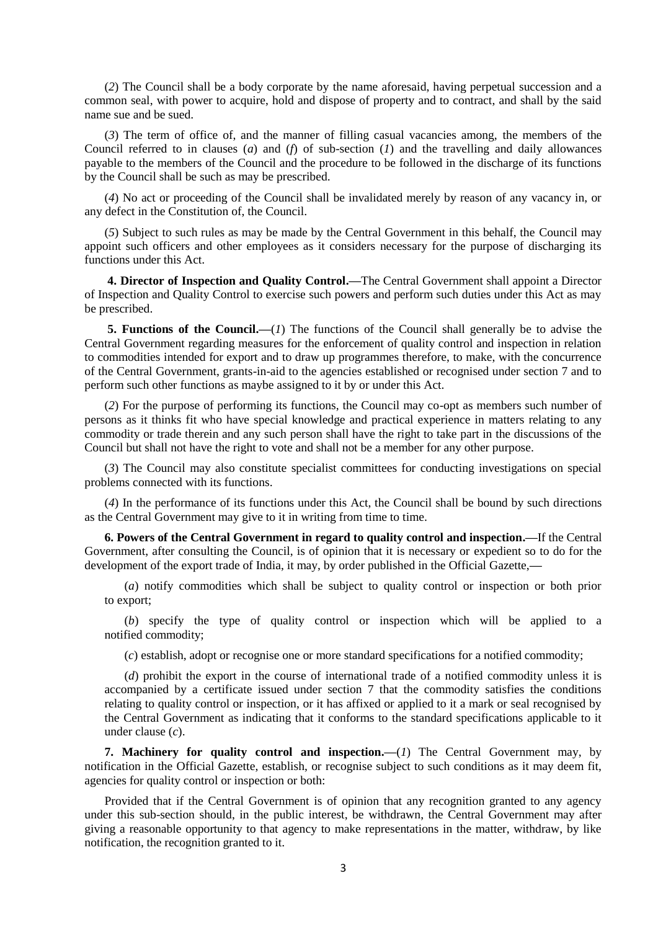(*2*) The Council shall be a body corporate by the name aforesaid, having perpetual succession and a common seal, with power to acquire, hold and dispose of property and to contract, and shall by the said name sue and be sued.

(*3*) The term of office of, and the manner of filling casual vacancies among, the members of the Council referred to in clauses (*a*) and (*f*) of sub-section (*1*) and the travelling and daily allowances payable to the members of the Council and the procedure to be followed in the discharge of its functions by the Council shall be such as may be prescribed.

(*4*) No act or proceeding of the Council shall be invalidated merely by reason of any vacancy in, or any defect in the Constitution of, the Council.

(*5*) Subject to such rules as may be made by the Central Government in this behalf, the Council may appoint such officers and other employees as it considers necessary for the purpose of discharging its functions under this Act.

**4. Director of Inspection and Quality Control.—**The Central Government shall appoint a Director of Inspection and Quality Control to exercise such powers and perform such duties under this Act as may be prescribed.

**5. Functions of the Council.—**(*1*) The functions of the Council shall generally be to advise the Central Government regarding measures for the enforcement of quality control and inspection in relation to commodities intended for export and to draw up programmes therefore, to make, with the concurrence of the Central Government, grants-in-aid to the agencies established or recognised under section 7 and to perform such other functions as maybe assigned to it by or under this Act.

(*2*) For the purpose of performing its functions, the Council may co-opt as members such number of persons as it thinks fit who have special knowledge and practical experience in matters relating to any commodity or trade therein and any such person shall have the right to take part in the discussions of the Council but shall not have the right to vote and shall not be a member for any other purpose.

(*3*) The Council may also constitute specialist committees for conducting investigations on special problems connected with its functions.

(*4*) In the performance of its functions under this Act, the Council shall be bound by such directions as the Central Government may give to it in writing from time to time.

**6. Powers of the Central Government in regard to quality control and inspection.—**If the Central Government, after consulting the Council, is of opinion that it is necessary or expedient so to do for the development of the export trade of India, it may, by order published in the Official Gazette,**—**

(*a*) notify commodities which shall be subject to quality control or inspection or both prior to export;

(*b*) specify the type of quality control or inspection which will be applied to a notified commodity;

(*c*) establish, adopt or recognise one or more standard specifications for a notified commodity;

(*d*) prohibit the export in the course of international trade of a notified commodity unless it is accompanied by a certificate issued under section 7 that the commodity satisfies the conditions relating to quality control or inspection, or it has affixed or applied to it a mark or seal recognised by the Central Government as indicating that it conforms to the standard specifications applicable to it under clause (*c*).

**7. Machinery for quality control and inspection.—**(*1*) The Central Government may, by notification in the Official Gazette, establish, or recognise subject to such conditions as it may deem fit, agencies for quality control or inspection or both:

Provided that if the Central Government is of opinion that any recognition granted to any agency under this sub-section should, in the public interest, be withdrawn, the Central Government may after giving a reasonable opportunity to that agency to make representations in the matter, withdraw, by like notification, the recognition granted to it.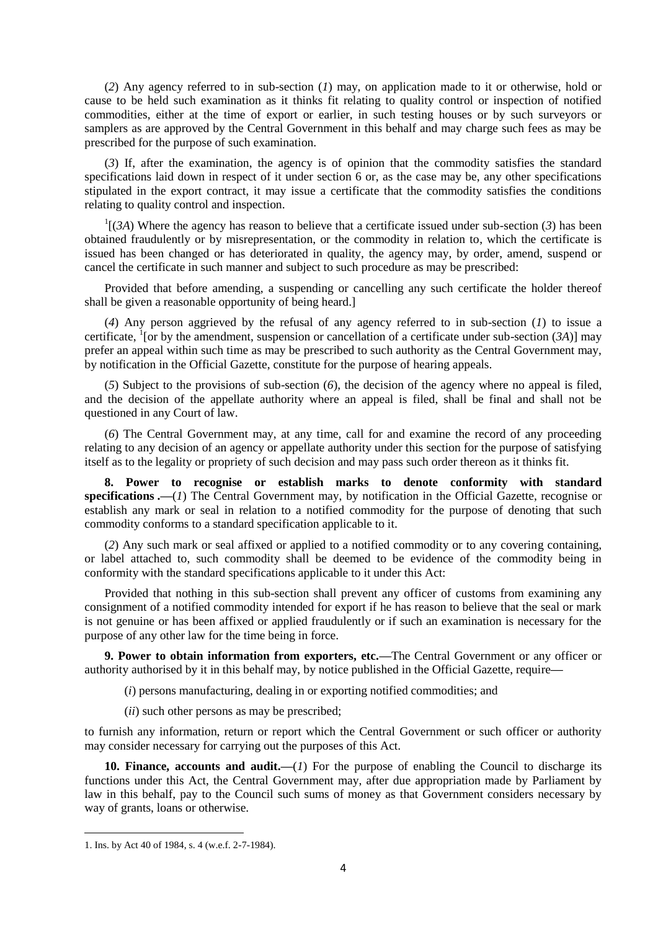(*2*) Any agency referred to in sub-section (*1*) may, on application made to it or otherwise, hold or cause to be held such examination as it thinks fit relating to quality control or inspection of notified commodities, either at the time of export or earlier, in such testing houses or by such surveyors or samplers as are approved by the Central Government in this behalf and may charge such fees as may be prescribed for the purpose of such examination.

(*3*) If, after the examination, the agency is of opinion that the commodity satisfies the standard specifications laid down in respect of it under section 6 or, as the case may be, any other specifications stipulated in the export contract, it may issue a certificate that the commodity satisfies the conditions relating to quality control and inspection.

 $\Gamma$ [(*3A*) Where the agency has reason to believe that a certificate issued under sub-section (*3*) has been obtained fraudulently or by misrepresentation, or the commodity in relation to, which the certificate is issued has been changed or has deteriorated in quality, the agency may, by order, amend, suspend or cancel the certificate in such manner and subject to such procedure as may be prescribed:

Provided that before amending, a suspending or cancelling any such certificate the holder thereof shall be given a reasonable opportunity of being heard.]

(*4*) Any person aggrieved by the refusal of any agency referred to in sub-section (*1*) to issue a certificate,  $\frac{1}{1}$  [or by the amendment, suspension or cancellation of a certificate under sub-section (3A)] may prefer an appeal within such time as may be prescribed to such authority as the Central Government may, by notification in the Official Gazette, constitute for the purpose of hearing appeals.

(*5*) Subject to the provisions of sub-section (*6*), the decision of the agency where no appeal is filed, and the decision of the appellate authority where an appeal is filed, shall be final and shall not be questioned in any Court of law.

(*6*) The Central Government may, at any time, call for and examine the record of any proceeding relating to any decision of an agency or appellate authority under this section for the purpose of satisfying itself as to the legality or propriety of such decision and may pass such order thereon as it thinks fit.

**8. Power to recognise or establish marks to denote conformity with standard specifications .—**(*1*) The Central Government may, by notification in the Official Gazette, recognise or establish any mark or seal in relation to a notified commodity for the purpose of denoting that such commodity conforms to a standard specification applicable to it.

(*2*) Any such mark or seal affixed or applied to a notified commodity or to any covering containing, or label attached to, such commodity shall be deemed to be evidence of the commodity being in conformity with the standard specifications applicable to it under this Act:

Provided that nothing in this sub-section shall prevent any officer of customs from examining any consignment of a notified commodity intended for export if he has reason to believe that the seal or mark is not genuine or has been affixed or applied fraudulently or if such an examination is necessary for the purpose of any other law for the time being in force.

**9. Power to obtain information from exporters, etc.—**The Central Government or any officer or authority authorised by it in this behalf may, by notice published in the Official Gazette, require**—**

(*i*) persons manufacturing, dealing in or exporting notified commodities; and

(*ii*) such other persons as may be prescribed;

to furnish any information, return or report which the Central Government or such officer or authority may consider necessary for carrying out the purposes of this Act.

10. Finance, accounts and audit.—(*1*) For the purpose of enabling the Council to discharge its functions under this Act, the Central Government may, after due appropriation made by Parliament by law in this behalf, pay to the Council such sums of money as that Government considers necessary by way of grants, loans or otherwise.

 $\overline{\phantom{a}}$ 

<sup>1.</sup> Ins. by Act 40 of 1984, s. 4 (w.e.f. 2-7-1984).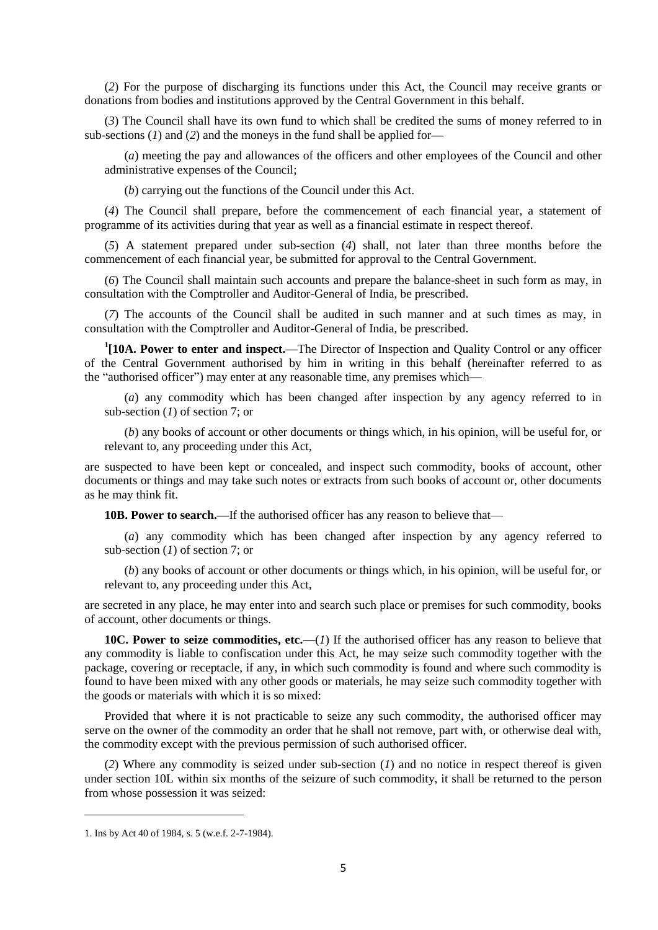(*2*) For the purpose of discharging its functions under this Act, the Council may receive grants or donations from bodies and institutions approved by the Central Government in this behalf.

(*3*) The Council shall have its own fund to which shall be credited the sums of money referred to in sub-sections (*1*) and (*2*) and the moneys in the fund shall be applied for**—**

(*a*) meeting the pay and allowances of the officers and other employees of the Council and other administrative expenses of the Council;

(*b*) carrying out the functions of the Council under this Act.

(*4*) The Council shall prepare, before the commencement of each financial year, a statement of programme of its activities during that year as well as a financial estimate in respect thereof.

(*5*) A statement prepared under sub-section (*4*) shall, not later than three months before the commencement of each financial year, be submitted for approval to the Central Government.

(*6*) The Council shall maintain such accounts and prepare the balance-sheet in such form as may, in consultation with the Comptroller and Auditor-General of India, be prescribed.

(*7*) The accounts of the Council shall be audited in such manner and at such times as may, in consultation with the Comptroller and Auditor-General of India, be prescribed.

**1 [10A. Power to enter and inspect.—**The Director of Inspection and Quality Control or any officer of the Central Government authorised by him in writing in this behalf (hereinafter referred to as the "authorised officer") may enter at any reasonable time, any premises which**—**

(*a*) any commodity which has been changed after inspection by any agency referred to in sub-section (*1*) of section 7; or

(*b*) any books of account or other documents or things which, in his opinion, will be useful for, or relevant to, any proceeding under this Act,

are suspected to have been kept or concealed, and inspect such commodity, books of account, other documents or things and may take such notes or extracts from such books of account or, other documents as he may think fit.

**10B. Power to search.—**If the authorised officer has any reason to believe that—

(*a*) any commodity which has been changed after inspection by any agency referred to sub-section (*1*) of section 7; or

(*b*) any books of account or other documents or things which, in his opinion, will be useful for, or relevant to, any proceeding under this Act,

are secreted in any place, he may enter into and search such place or premises for such commodity, books of account, other documents or things.

**10C. Power to seize commodities, etc.—**(*1*) If the authorised officer has any reason to believe that any commodity is liable to confiscation under this Act, he may seize such commodity together with the package, covering or receptacle, if any, in which such commodity is found and where such commodity is found to have been mixed with any other goods or materials, he may seize such commodity together with the goods or materials with which it is so mixed:

Provided that where it is not practicable to seize any such commodity, the authorised officer may serve on the owner of the commodity an order that he shall not remove, part with, or otherwise deal with, the commodity except with the previous permission of such authorised officer.

(*2*) Where any commodity is seized under sub-section (*1*) and no notice in respect thereof is given under section 10L within six months of the seizure of such commodity, it shall be returned to the person from whose possession it was seized:

<sup>1.</sup> Ins by Act 40 of 1984, s. 5 (w.e.f. 2-7-1984).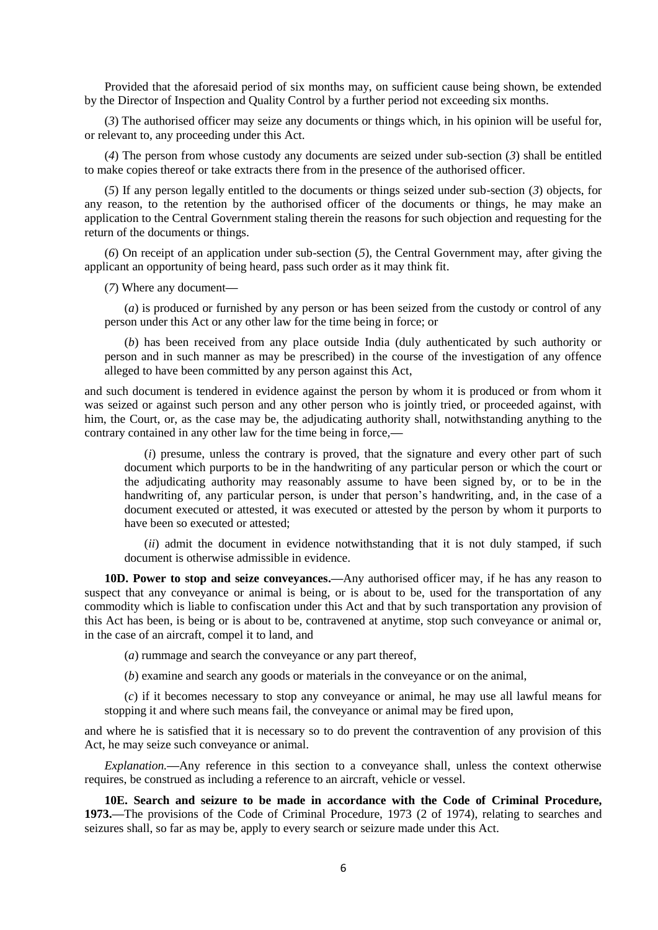Provided that the aforesaid period of six months may, on sufficient cause being shown, be extended by the Director of Inspection and Quality Control by a further period not exceeding six months.

(*3*) The authorised officer may seize any documents or things which, in his opinion will be useful for, or relevant to, any proceeding under this Act.

(*4*) The person from whose custody any documents are seized under sub-section (*3*) shall be entitled to make copies thereof or take extracts there from in the presence of the authorised officer.

(*5*) If any person legally entitled to the documents or things seized under sub-section (*3*) objects, for any reason, to the retention by the authorised officer of the documents or things, he may make an application to the Central Government staling therein the reasons for such objection and requesting for the return of the documents or things.

(*6*) On receipt of an application under sub-section (*5*), the Central Government may, after giving the applicant an opportunity of being heard, pass such order as it may think fit.

(*7*) Where any document**—**

(*a*) is produced or furnished by any person or has been seized from the custody or control of any person under this Act or any other law for the time being in force; or

(*b*) has been received from any place outside India (duly authenticated by such authority or person and in such manner as may be prescribed) in the course of the investigation of any offence alleged to have been committed by any person against this Act,

and such document is tendered in evidence against the person by whom it is produced or from whom it was seized or against such person and any other person who is jointly tried, or proceeded against, with him, the Court, or, as the case may be, the adjudicating authority shall, notwithstanding anything to the contrary contained in any other law for the time being in force,**—**

(*i*) presume, unless the contrary is proved, that the signature and every other part of such document which purports to be in the handwriting of any particular person or which the court or the adjudicating authority may reasonably assume to have been signed by, or to be in the handwriting of, any particular person, is under that person's handwriting, and, in the case of a document executed or attested, it was executed or attested by the person by whom it purports to have been so executed or attested;

(*ii*) admit the document in evidence notwithstanding that it is not duly stamped, if such document is otherwise admissible in evidence.

**10D. Power to stop and seize conveyances.—**Any authorised officer may, if he has any reason to suspect that any conveyance or animal is being, or is about to be, used for the transportation of any commodity which is liable to confiscation under this Act and that by such transportation any provision of this Act has been, is being or is about to be, contravened at anytime, stop such conveyance or animal or, in the case of an aircraft, compel it to land, and

(*a*) rummage and search the conveyance or any part thereof,

(*b*) examine and search any goods or materials in the conveyance or on the animal,

(*c*) if it becomes necessary to stop any conveyance or animal, he may use all lawful means for stopping it and where such means fail, the conveyance or animal may be fired upon,

and where he is satisfied that it is necessary so to do prevent the contravention of any provision of this Act, he may seize such conveyance or animal.

*Explanation.***—**Any reference in this section to a conveyance shall, unless the context otherwise requires, be construed as including a reference to an aircraft, vehicle or vessel.

**10E. Search and seizure to be made in accordance with the Code of Criminal Procedure, 1973.—**The provisions of the Code of Criminal Procedure, 1973 (2 of 1974), relating to searches and seizures shall, so far as may be, apply to every search or seizure made under this Act.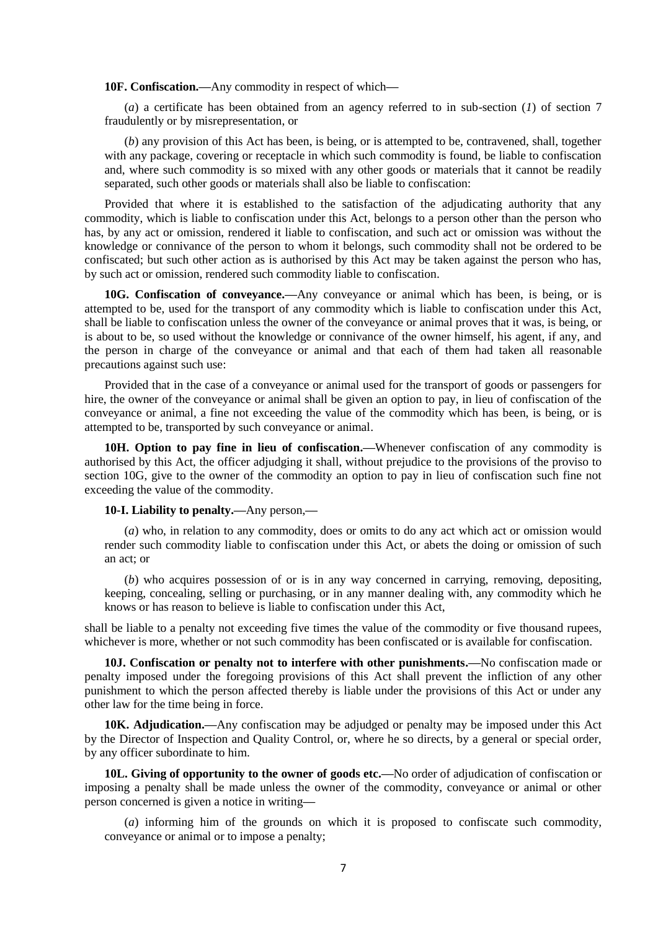**10F. Confiscation.—**Any commodity in respect of which**—**

(*a*) a certificate has been obtained from an agency referred to in sub-section (*1*) of section 7 fraudulently or by misrepresentation, or

(*b*) any provision of this Act has been, is being, or is attempted to be, contravened, shall, together with any package, covering or receptacle in which such commodity is found, be liable to confiscation and, where such commodity is so mixed with any other goods or materials that it cannot be readily separated, such other goods or materials shall also be liable to confiscation:

Provided that where it is established to the satisfaction of the adjudicating authority that any commodity, which is liable to confiscation under this Act, belongs to a person other than the person who has, by any act or omission, rendered it liable to confiscation, and such act or omission was without the knowledge or connivance of the person to whom it belongs, such commodity shall not be ordered to be confiscated; but such other action as is authorised by this Act may be taken against the person who has, by such act or omission, rendered such commodity liable to confiscation.

**10G. Confiscation of conveyance.—**Any conveyance or animal which has been, is being, or is attempted to be, used for the transport of any commodity which is liable to confiscation under this Act, shall be liable to confiscation unless the owner of the conveyance or animal proves that it was, is being, or is about to be, so used without the knowledge or connivance of the owner himself, his agent, if any, and the person in charge of the conveyance or animal and that each of them had taken all reasonable precautions against such use:

Provided that in the case of a conveyance or animal used for the transport of goods or passengers for hire, the owner of the conveyance or animal shall be given an option to pay, in lieu of confiscation of the conveyance or animal, a fine not exceeding the value of the commodity which has been, is being, or is attempted to be, transported by such conveyance or animal.

**10H. Option to pay fine in lieu of confiscation.—**Whenever confiscation of any commodity is authorised by this Act, the officer adjudging it shall, without prejudice to the provisions of the proviso to section 10G, give to the owner of the commodity an option to pay in lieu of confiscation such fine not exceeding the value of the commodity.

#### **10-I. Liability to penalty.—**Any person,**—**

(*a*) who, in relation to any commodity, does or omits to do any act which act or omission would render such commodity liable to confiscation under this Act, or abets the doing or omission of such an act; or

(*b*) who acquires possession of or is in any way concerned in carrying, removing, depositing, keeping, concealing, selling or purchasing, or in any manner dealing with, any commodity which he knows or has reason to believe is liable to confiscation under this Act,

shall be liable to a penalty not exceeding five times the value of the commodity or five thousand rupees, whichever is more, whether or not such commodity has been confiscated or is available for confiscation.

**10J. Confiscation or penalty not to interfere with other punishments.—**No confiscation made or penalty imposed under the foregoing provisions of this Act shall prevent the infliction of any other punishment to which the person affected thereby is liable under the provisions of this Act or under any other law for the time being in force.

**10K. Adjudication.—**Any confiscation may be adjudged or penalty may be imposed under this Act by the Director of Inspection and Quality Control, or, where he so directs, by a general or special order, by any officer subordinate to him.

**10L. Giving of opportunity to the owner of goods etc.—**No order of adjudication of confiscation or imposing a penalty shall be made unless the owner of the commodity, conveyance or animal or other person concerned is given a notice in writing**—**

(*a*) informing him of the grounds on which it is proposed to confiscate such commodity, conveyance or animal or to impose a penalty;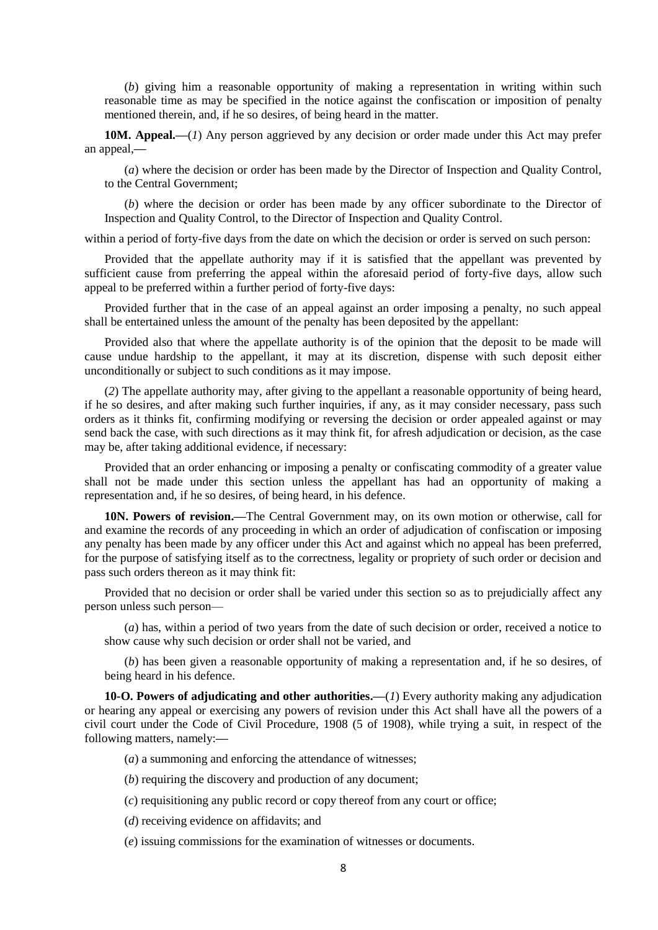(*b*) giving him a reasonable opportunity of making a representation in writing within such reasonable time as may be specified in the notice against the confiscation or imposition of penalty mentioned therein, and, if he so desires, of being heard in the matter.

**10M. Appeal.—**(*1*) Any person aggrieved by any decision or order made under this Act may prefer an appeal,**—**

(*a*) where the decision or order has been made by the Director of Inspection and Quality Control, to the Central Government;

(*b*) where the decision or order has been made by any officer subordinate to the Director of Inspection and Quality Control, to the Director of Inspection and Quality Control.

within a period of forty-five days from the date on which the decision or order is served on such person:

Provided that the appellate authority may if it is satisfied that the appellant was prevented by sufficient cause from preferring the appeal within the aforesaid period of forty-five days, allow such appeal to be preferred within a further period of forty-five days:

Provided further that in the case of an appeal against an order imposing a penalty, no such appeal shall be entertained unless the amount of the penalty has been deposited by the appellant:

Provided also that where the appellate authority is of the opinion that the deposit to be made will cause undue hardship to the appellant, it may at its discretion, dispense with such deposit either unconditionally or subject to such conditions as it may impose.

(*2*) The appellate authority may, after giving to the appellant a reasonable opportunity of being heard, if he so desires, and after making such further inquiries, if any, as it may consider necessary, pass such orders as it thinks fit, confirming modifying or reversing the decision or order appealed against or may send back the case, with such directions as it may think fit, for afresh adjudication or decision, as the case may be, after taking additional evidence, if necessary:

Provided that an order enhancing or imposing a penalty or confiscating commodity of a greater value shall not be made under this section unless the appellant has had an opportunity of making a representation and, if he so desires, of being heard, in his defence.

**10N. Powers of revision.—**The Central Government may, on its own motion or otherwise, call for and examine the records of any proceeding in which an order of adjudication of confiscation or imposing any penalty has been made by any officer under this Act and against which no appeal has been preferred, for the purpose of satisfying itself as to the correctness, legality or propriety of such order or decision and pass such orders thereon as it may think fit:

Provided that no decision or order shall be varied under this section so as to prejudicially affect any person unless such person—

(*a*) has, within a period of two years from the date of such decision or order, received a notice to show cause why such decision or order shall not be varied, and

(*b*) has been given a reasonable opportunity of making a representation and, if he so desires, of being heard in his defence.

**10-O. Powers of adjudicating and other authorities.—**(*1*) Every authority making any adjudication or hearing any appeal or exercising any powers of revision under this Act shall have all the powers of a civil court under the Code of Civil Procedure, 1908 (5 of 1908), while trying a suit, in respect of the following matters, namely:**—**

(*a*) a summoning and enforcing the attendance of witnesses;

(*b*) requiring the discovery and production of any document;

- (*c*) requisitioning any public record or copy thereof from any court or office;
- (*d*) receiving evidence on affidavits; and
- (*e*) issuing commissions for the examination of witnesses or documents.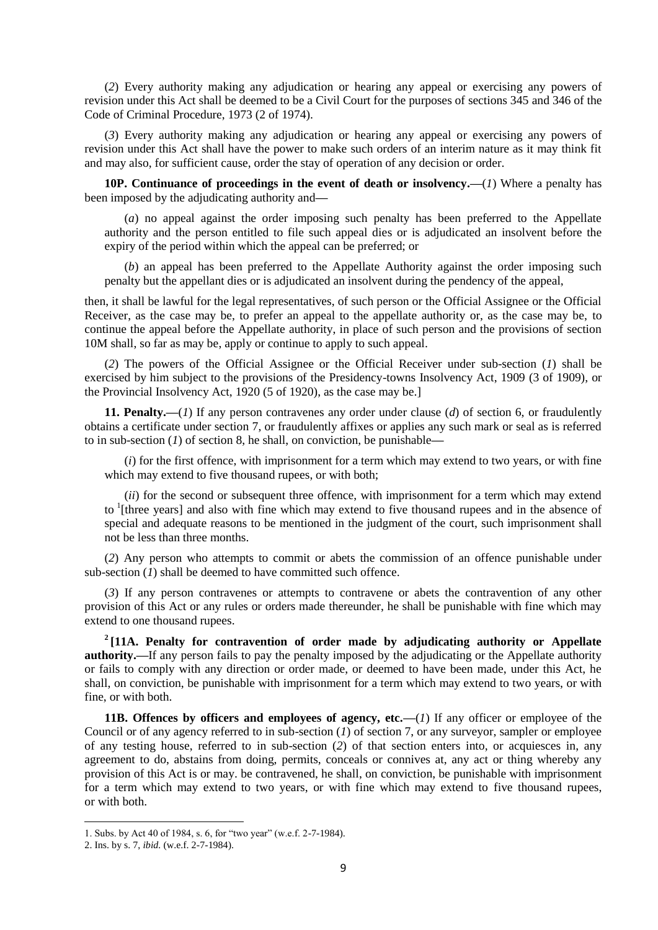(*2*) Every authority making any adjudication or hearing any appeal or exercising any powers of revision under this Act shall be deemed to be a Civil Court for the purposes of sections 345 and 346 of the Code of Criminal Procedure, 1973 (2 of 1974).

(*3*) Every authority making any adjudication or hearing any appeal or exercising any powers of revision under this Act shall have the power to make such orders of an interim nature as it may think fit and may also, for sufficient cause, order the stay of operation of any decision or order.

**10P. Continuance of proceedings in the event of death or insolvency.—**(*1*) Where a penalty has been imposed by the adjudicating authority and**—**

(*a*) no appeal against the order imposing such penalty has been preferred to the Appellate authority and the person entitled to file such appeal dies or is adjudicated an insolvent before the expiry of the period within which the appeal can be preferred; or

(*b*) an appeal has been preferred to the Appellate Authority against the order imposing such penalty but the appellant dies or is adjudicated an insolvent during the pendency of the appeal,

then, it shall be lawful for the legal representatives, of such person or the Official Assignee or the Official Receiver, as the case may be, to prefer an appeal to the appellate authority or, as the case may be, to continue the appeal before the Appellate authority, in place of such person and the provisions of section 10M shall, so far as may be, apply or continue to apply to such appeal.

(*2*) The powers of the Official Assignee or the Official Receiver under sub-section (*1*) shall be exercised by him subject to the provisions of the Presidency-towns Insolvency Act, 1909 (3 of 1909), or the Provincial Insolvency Act, 1920 (5 of 1920), as the case may be.]

**11. Penalty.—**(*1*) If any person contravenes any order under clause (*d*) of section 6, or fraudulently obtains a certificate under section 7, or fraudulently affixes or applies any such mark or seal as is referred to in sub-section (*1*) of section 8, he shall, on conviction, be punishable**—**

(*i*) for the first offence, with imprisonment for a term which may extend to two years, or with fine which may extend to five thousand rupees, or with both;

(*ii*) for the second or subsequent three offence, with imprisonment for a term which may extend to <sup>1</sup>[three years] and also with fine which may extend to five thousand rupees and in the absence of special and adequate reasons to be mentioned in the judgment of the court, such imprisonment shall not be less than three months.

(*2*) Any person who attempts to commit or abets the commission of an offence punishable under sub-section (*1*) shall be deemed to have committed such offence.

(*3*) If any person contravenes or attempts to contravene or abets the contravention of any other provision of this Act or any rules or orders made thereunder, he shall be punishable with fine which may extend to one thousand rupees.

<sup>2</sup> [11A. Penalty for contravention of order made by adjudicating authority or Appellate **authority.—If** any person fails to pay the penalty imposed by the adjudicating or the Appellate authority or fails to comply with any direction or order made, or deemed to have been made, under this Act, he shall, on conviction, be punishable with imprisonment for a term which may extend to two years, or with fine, or with both.

**11B. Offences by officers and employees of agency, etc.—(***1***) If any officer or employee of the** Council or of any agency referred to in sub-section (*1*) of section 7, or any surveyor, sampler or employee of any testing house, referred to in sub-section (*2*) of that section enters into, or acquiesces in, any agreement to do, abstains from doing, permits, conceals or connives at, any act or thing whereby any provision of this Act is or may. be contravened, he shall, on conviction, be punishable with imprisonment for a term which may extend to two years, or with fine which may extend to five thousand rupees, or with both.

<sup>1.</sup> Subs. by Act 40 of 1984, s. 6, for "two year" (w.e.f. 2-7-1984).

<sup>2.</sup> Ins. by s. 7, *ibid.* (w.e.f. 2-7-1984).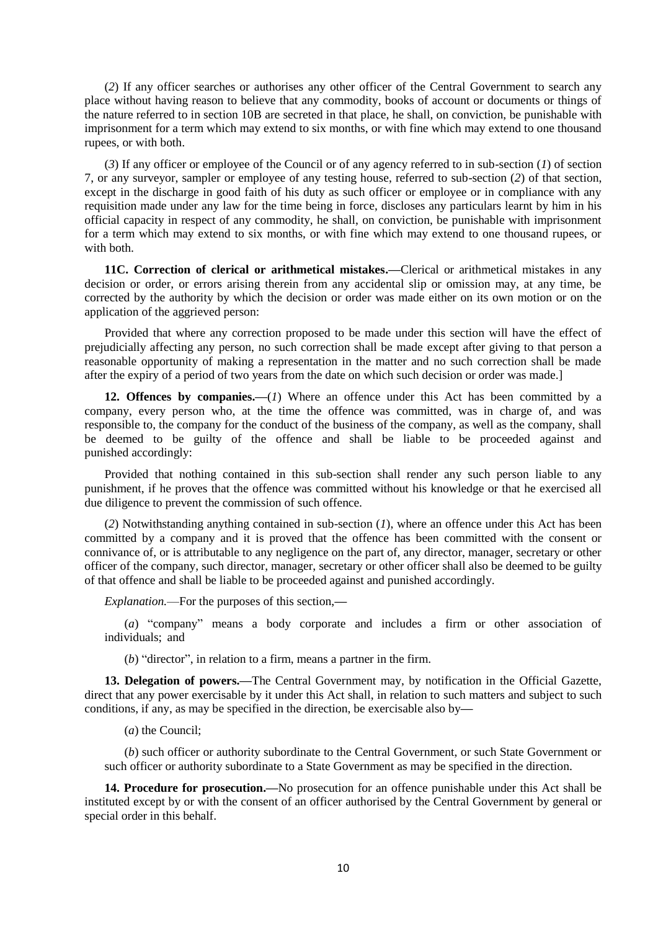(*2*) If any officer searches or authorises any other officer of the Central Government to search any place without having reason to believe that any commodity, books of account or documents or things of the nature referred to in section 10B are secreted in that place, he shall, on conviction, be punishable with imprisonment for a term which may extend to six months, or with fine which may extend to one thousand rupees, or with both.

(*3*) If any officer or employee of the Council or of any agency referred to in sub-section (*1*) of section 7, or any surveyor, sampler or employee of any testing house, referred to sub-section (*2*) of that section, except in the discharge in good faith of his duty as such officer or employee or in compliance with any requisition made under any law for the time being in force, discloses any particulars learnt by him in his official capacity in respect of any commodity, he shall, on conviction, be punishable with imprisonment for a term which may extend to six months, or with fine which may extend to one thousand rupees, or with both.

**11C. Correction of clerical or arithmetical mistakes.—**Clerical or arithmetical mistakes in any decision or order, or errors arising therein from any accidental slip or omission may, at any time, be corrected by the authority by which the decision or order was made either on its own motion or on the application of the aggrieved person:

Provided that where any correction proposed to be made under this section will have the effect of prejudicially affecting any person, no such correction shall be made except after giving to that person a reasonable opportunity of making a representation in the matter and no such correction shall be made after the expiry of a period of two years from the date on which such decision or order was made.]

**12. Offences by companies.—**(*1*) Where an offence under this Act has been committed by a company, every person who, at the time the offence was committed, was in charge of, and was responsible to, the company for the conduct of the business of the company, as well as the company, shall be deemed to be guilty of the offence and shall be liable to be proceeded against and punished accordingly:

Provided that nothing contained in this sub-section shall render any such person liable to any punishment, if he proves that the offence was committed without his knowledge or that he exercised all due diligence to prevent the commission of such offence.

(*2*) Notwithstanding anything contained in sub-section (*1*), where an offence under this Act has been committed by a company and it is proved that the offence has been committed with the consent or connivance of, or is attributable to any negligence on the part of, any director, manager, secretary or other officer of the company, such director, manager, secretary or other officer shall also be deemed to be guilty of that offence and shall be liable to be proceeded against and punished accordingly.

*Explanation.*—For the purposes of this section,**—**

(*a*) "company" means a body corporate and includes a firm or other association of individuals; and

(*b*) "director", in relation to a firm, means a partner in the firm.

**13. Delegation of powers.—**The Central Government may, by notification in the Official Gazette, direct that any power exercisable by it under this Act shall, in relation to such matters and subject to such conditions, if any, as may be specified in the direction, be exercisable also by**—**

(*a*) the Council;

(*b*) such officer or authority subordinate to the Central Government, or such State Government or such officer or authority subordinate to a State Government as may be specified in the direction.

**14. Procedure for prosecution.—**No prosecution for an offence punishable under this Act shall be instituted except by or with the consent of an officer authorised by the Central Government by general or special order in this behalf.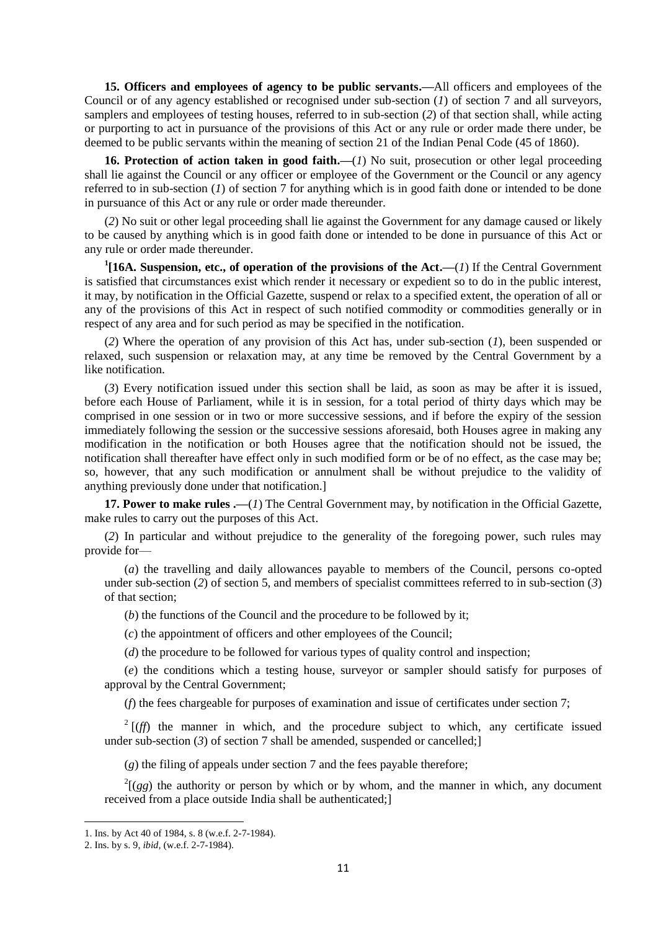**15. Officers and employees of agency to be public servants.—**All officers and employees of the Council or of any agency established or recognised under sub-section (*1*) of section 7 and all surveyors, samplers and employees of testing houses, referred to in sub-section (*2*) of that section shall, while acting or purporting to act in pursuance of the provisions of this Act or any rule or order made there under, be deemed to be public servants within the meaning of section 21 of the Indian Penal Code (45 of 1860).

**16. Protection of action taken in good faith.—**(*1*) No suit, prosecution or other legal proceeding shall lie against the Council or any officer or employee of the Government or the Council or any agency referred to in sub-section (*1*) of section 7 for anything which is in good faith done or intended to be done in pursuance of this Act or any rule or order made thereunder.

(*2*) No suit or other legal proceeding shall lie against the Government for any damage caused or likely to be caused by anything which is in good faith done or intended to be done in pursuance of this Act or any rule or order made thereunder.

**1 [16A. Suspension, etc., of operation of the provisions of the Act.—**(*1*) If the Central Government is satisfied that circumstances exist which render it necessary or expedient so to do in the public interest, it may, by notification in the Official Gazette, suspend or relax to a specified extent, the operation of all or any of the provisions of this Act in respect of such notified commodity or commodities generally or in respect of any area and for such period as may be specified in the notification.

(*2*) Where the operation of any provision of this Act has, under sub-section (*1*), been suspended or relaxed, such suspension or relaxation may, at any time be removed by the Central Government by a like notification.

(*3*) Every notification issued under this section shall be laid, as soon as may be after it is issued, before each House of Parliament, while it is in session, for a total period of thirty days which may be comprised in one session or in two or more successive sessions, and if before the expiry of the session immediately following the session or the successive sessions aforesaid, both Houses agree in making any modification in the notification or both Houses agree that the notification should not be issued, the notification shall thereafter have effect only in such modified form or be of no effect, as the case may be; so, however, that any such modification or annulment shall be without prejudice to the validity of anything previously done under that notification.]

**17. Power to make rules .—**(*1*) The Central Government may, by notification in the Official Gazette, make rules to carry out the purposes of this Act.

(*2*) In particular and without prejudice to the generality of the foregoing power, such rules may provide for—

(*a*) the travelling and daily allowances payable to members of the Council, persons co-opted under sub-section (*2*) of section 5, and members of specialist committees referred to in sub-section (*3*) of that section;

(*b*) the functions of the Council and the procedure to be followed by it;

(*c*) the appointment of officers and other employees of the Council;

(*d*) the procedure to be followed for various types of quality control and inspection;

(*e*) the conditions which a testing house, surveyor or sampler should satisfy for purposes of approval by the Central Government;

(*f*) the fees chargeable for purposes of examination and issue of certificates under section 7;

 $2 \left[ (f \)$  the manner in which, and the procedure subject to which, any certificate issued under sub-section (3) of section 7 shall be amended, suspended or cancelled;

(*g*) the filing of appeals under section 7 and the fees payable therefore;

 $2\left[\left(gg\right)\right]$  the authority or person by which or by whom, and the manner in which, any document received from a place outside India shall be authenticated;]

<sup>1.</sup> Ins. by Act 40 of 1984, s. 8 (w.e.f. 2-7-1984).

<sup>2.</sup> Ins. by s. 9, *ibid,* (w.e.f. 2-7-1984).